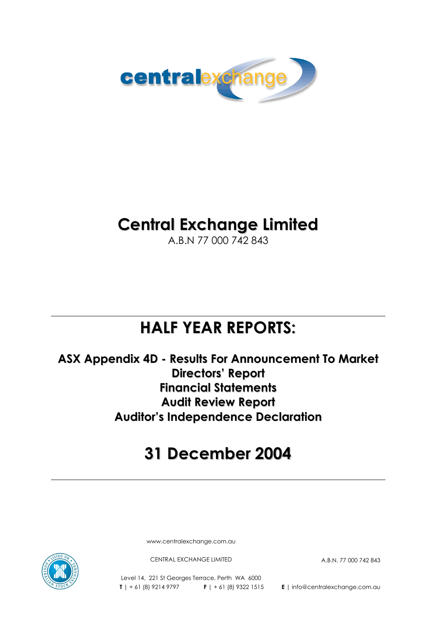

# **Central Exchange Limited**

A.B.N 77 000 742 843

# **HALF YEAR REPORTS:**

**ASX Appendix 4D - Results For Announcement To Market Directors' Report Financial Statements Audit Review Report Auditor's Independence Declaration**

# **31 December 2004**

www.centralexchange.com.au

CENTRAL EXCHANGE LIMITED A.B.N. 77 000 742 843

Level 14, 221 St Georges Terrace, Perth WA 6000 **T** | + 61 (8) 9214 9797 **F** | + 61 (8) 9322 1515 **E** | info@centralexchange.com.au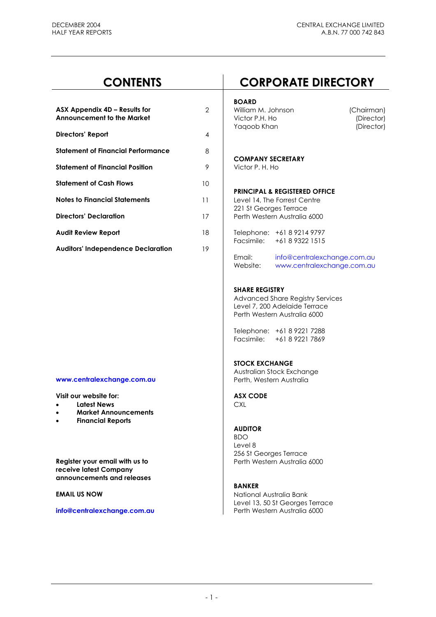| ASX Appendix 4D – Results for<br><b>Announcement to the Market</b> | 2  |
|--------------------------------------------------------------------|----|
| Directors' Report                                                  | 4  |
| <b>Statement of Financial Performance</b>                          | 8  |
| <b>Statement of Financial Position</b>                             | 9  |
| <b>Statement of Cash Flows</b>                                     | 10 |
| <b>Notes to Financial Statements</b>                               | 11 |
| <b>Directors' Declaration</b>                                      | 17 |
| <b>Audit Review Report</b>                                         | 18 |
| <b>Auditors' Independence Declaration</b>                          | 19 |

#### **www.centralexchange.com.au | Perth, Western Australia**

Visit our website for: **ASX CODE** 

- **Latest News** CXL
- **Market Announcements**
- **Financial Reports**

**receive latest Company announcements and releases** 

#### info@centralexchange.com.au

# **CONTENTS CORPORATE DIRECTORY**

#### **BOARD**

William M. Johnson (Chairman)<br>Victor P.H. Ho (Director) **Victor P.H. Ho** Yaqoob Khan (Director)

### **COMPANY SECRETARY**

**Statement of Financial Position** 9 Victor P. H. Ho

# **PRINCIPAL & REGISTERED OFFICE**

Level 14, The Forrest Centre 221 St Georges Terrace **Perth Western Australia 6000** 

**Audit Review Report** 18 Telephone: +61 8 9214 9797 Facsimile: +61 8 9322 1515

> Email: info@centralexchange.com.au Website: www.centralexchange.com.au

#### **SHARE REGISTRY**

 Advanced Share Registry Services Level 7, 200 Adelaide Terrace Perth Western Australia 6000

 Telephone: +61 8 9221 7288 Facsimile: +61 8 9221 7869

#### **STOCK EXCHANGE**

Australian Stock Exchange

# **AUDITOR**

 BDO Level 8 256 St Georges Terrace **Register your email with us to <br>Perth Western Australia 6000** 

#### **BANKER**

**EMAIL US NOW CONSUMING A LOCAL CONSUMING A LOCAL CONSUMING A LOCAL CONSUMING A LOCAL CONSUMING A LOCAL CONSUMING A LOCAL CONSUMING A LOCAL CONSUMING A LOCAL CONSUMING A LOCAL CONSUMING A LOCAL CONSUMING A LOCAL CONSUMING** Level 13, 50 St Georges Terrace<br>Perth Western Australia 6000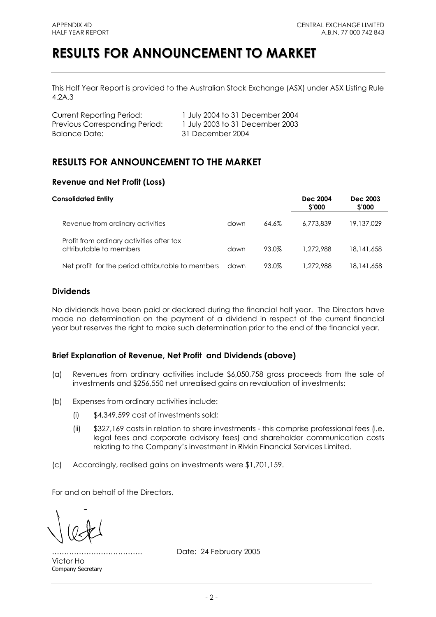# **RESULTS FOR ANNOUNCEMENT TO MARKET**

This Half Year Report is provided to the Australian Stock Exchange (ASX) under ASX Listing Rule 4.2A.3

| <b>Current Reporting Period:</b> |
|----------------------------------|
| Previous Corresponding Period:   |
| Balance Date:                    |

1 July 2004 to 31 December 2004 1 July 2003 to 31 December 2003 31 December 2004

# **RESULTS FOR ANNOUNCEMENT TO THE MARKET**

# **Revenue and Net Profit (Loss)**

| <b>Consolidated Entity</b>                                           |      |       | Dec 2004<br>\$'000 | Dec 2003<br><b>S'000</b> |
|----------------------------------------------------------------------|------|-------|--------------------|--------------------------|
| Revenue from ordinary activities                                     | down | 64.6% | 6.773.839          | 19,137,029               |
| Profit from ordinary activities after tax<br>attributable to members | down | 93.0% | 1.272.988          | 18,141,658               |
| Net profit for the period attributable to members                    | down | 93.0% | 1.272.988          | 18,141,658               |

# **Dividends**

No dividends have been paid or declared during the financial half year. The Directors have made no determination on the payment of a dividend in respect of the current financial year but reserves the right to make such determination prior to the end of the financial year.

# **Brief Explanation of Revenue, Net Profit and Dividends (above)**

- (a) Revenues from ordinary activities include \$6,050,758 gross proceeds from the sale of investments and \$256,550 net unrealised gains on revaluation of investments;
- (b) Expenses from ordinary activities include:
	- (i) \$4,349,599 cost of investments sold;
	- (ii) \$327,169 costs in relation to share investments this comprise professional fees (i.e. legal fees and corporate advisory fees) and shareholder communication costs relating to the Company's investment in Rivkin Financial Services Limited.
- (c) Accordingly, realised gains on investments were \$1,701,159.

For and on behalf of the Directors,

Victor Ho Company Secretary

………………………………. Date: 24 February 2005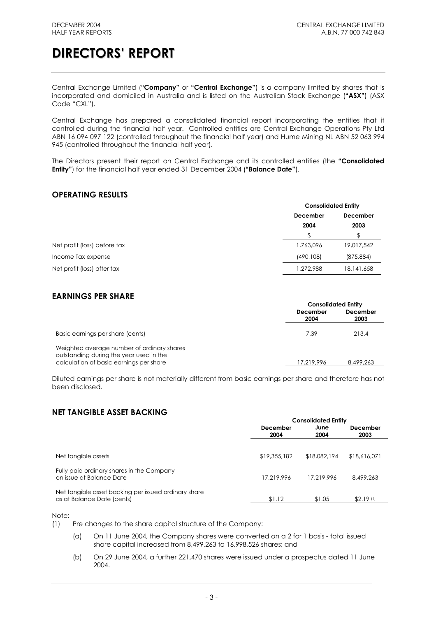Central Exchange Limited (**"Company"** or **"Central Exchange"**) is a company limited by shares that is incorporated and domiciled in Australia and is listed on the Australian Stock Exchange (**"ASX"**) (ASX Code "CXL").

Central Exchange has prepared a consolidated financial report incorporating the entities that it controlled during the financial half year. Controlled entities are Central Exchange Operations Pty Ltd ABN 16 094 097 122 (controlled throughout the financial half year) and Hume Mining NL ABN 52 063 994 945 (controlled throughout the financial half year).

The Directors present their report on Central Exchange and its controlled entities (the **"Consolidated Entity"**) for the financial half year ended 31 December 2004 (**"Balance Date"**).

# **OPERATING RESULTS**

|                              |            | <b>Consolidated Entity</b> |  |  |
|------------------------------|------------|----------------------------|--|--|
|                              | December   | December                   |  |  |
|                              | 2004       | 2003                       |  |  |
|                              |            |                            |  |  |
| Net profit (loss) before tax | 1,763,096  | 19,017,542                 |  |  |
| Income Tax expense           | (490, 108) | (875, 884)                 |  |  |
| Net profit (loss) after tax  | 1,272,988  | 18, 141, 658               |  |  |

# **EARNINGS PER SHARE**

| <b>Consolidated Entity</b> |                  |  |
|----------------------------|------------------|--|
| December<br>2004           | December<br>2003 |  |
| 7.39                       | 213.4            |  |
| 17.219.996                 | 8,499,263        |  |
|                            |                  |  |

Diluted earnings per share is not materially different from basic earnings per share and therefore has not been disclosed.

# **NET TANGIBLE ASSET BACKING**

|                                                                                    | <b>Consolidated Entity</b> |              |                        |
|------------------------------------------------------------------------------------|----------------------------|--------------|------------------------|
|                                                                                    | December<br>2004           | June<br>2004 | December<br>2003       |
| Net tangible assets                                                                | \$19,355,182               | \$18,082,194 | \$18,616,071           |
| Fully paid ordinary shares in the Company<br>on issue at Balance Date              | 17.219.996                 | 17.219.996   | 8,499,263              |
| Net tangible asset backing per issued ordinary share<br>as at Balance Date (cents) | \$1.12                     | \$1.05       | $$2.19$ <sup>(1)</sup> |

Note:

(1) Pre changes to the share capital structure of the Company:

- (a) On 11 June 2004, the Company shares were converted on a 2 for 1 basis total issued share capital increased from 8,499,263 to 16,998,526 shares; and
- (b) On 29 June 2004, a further 221,470 shares were issued under a prospectus dated 11 June 2004.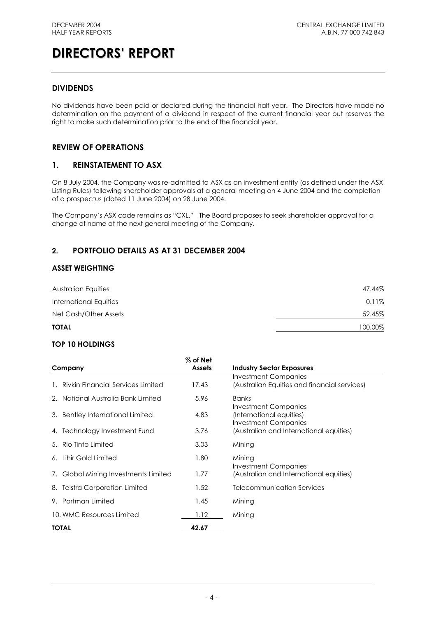# **DIVIDENDS**

No dividends have been paid or declared during the financial half year. The Directors have made no determination on the payment of a dividend in respect of the current financial year but reserves the right to make such determination prior to the end of the financial year.

# **REVIEW OF OPERATIONS**

# **1. REINSTATEMENT TO ASX**

On 8 July 2004, the Company was re-admitted to ASX as an investment entity (as defined under the ASX Listing Rules) following shareholder approvals at a general meeting on 4 June 2004 and the completion of a prospectus (dated 11 June 2004) on 28 June 2004.

The Company's ASX code remains as "CXL." The Board proposes to seek shareholder approval for a change of name at the next general meeting of the Company.

# **2. PORTFOLIO DETAILS AS AT 31 DECEMBER 2004**

### **ASSET WEIGHTING**

| Australian Equities    | 47.44%  |
|------------------------|---------|
| International Equities | 0.11%   |
| Net Cash/Other Assets  | 52.45%  |
| <b>TOTAL</b>           | 100.00% |

### **TOP 10 HOLDINGS**

| Company                              | $%$ of Net<br><b>Assets</b> | <b>Industry Sector Exposures</b>                                                |
|--------------------------------------|-----------------------------|---------------------------------------------------------------------------------|
| 1. Rivkin Financial Services Limited | 17.43                       | Investment Companies<br>(Australian Equities and financial services)            |
| 2. National Australia Bank Limited   | 5.96                        | <b>Banks</b>                                                                    |
| 3. Bentley International Limited     | 4.83                        | Investment Companies<br>(International equities)<br><b>Investment Companies</b> |
| 4. Technology Investment Fund        | 3.76                        | (Australian and International equities)                                         |
| 5. Rio Tinto Limited                 | 3.03                        | Mining                                                                          |
| 6. Lihir Gold Limited                | 1.80                        | Mining                                                                          |
| 7. Global Mining Investments Limited | 1.77                        | <b>Investment Companies</b><br>(Australian and International equities)          |
| 8. Telstra Corporation Limited       | 1.52                        | Telecommunication Services                                                      |
| 9. Portman Limited                   | 1.45                        | Mining                                                                          |
| 10. WMC Resources Limited            | 1.12                        | Mining                                                                          |
| <b>TOTAL</b>                         | 42.67                       |                                                                                 |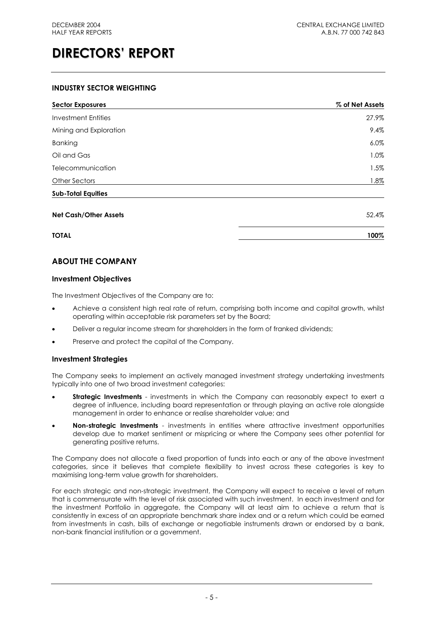### **INDUSTRY SECTOR WEIGHTING**

| <b>Sector Exposures</b>      | % of Net Assets |
|------------------------------|-----------------|
| <b>Investment Entities</b>   | 27.9%           |
| Mining and Exploration       | 9.4%            |
| Banking                      | $6.0\%$         |
| Oil and Gas                  | 1.0%            |
| Telecommunication            | 1.5%            |
| <b>Other Sectors</b>         | $1.8\%$         |
| <b>Sub-Total Equities</b>    |                 |
| <b>Net Cash/Other Assets</b> | 52.4%           |
| <b>TOTAL</b>                 | 100%            |

# **ABOUT THE COMPANY**

### **Investment Objectives**

The Investment Objectives of the Company are to:

- Achieve a consistent high real rate of return, comprising both income and capital growth, whilst operating within acceptable risk parameters set by the Board;
- Deliver a regular income stream for shareholders in the form of franked dividends;
- Preserve and protect the capital of the Company.

### **Investment Strategies**

The Company seeks to implement an actively managed investment strategy undertaking investments typically into one of two broad investment categories:

- **Strategic Investments** investments in which the Company can reasonably expect to exert a degree of influence, including board representation or through playing an active role alongside management in order to enhance or realise shareholder value; and
- **Non-strategic Investments** investments in entities where attractive investment opportunities develop due to market sentiment or mispricing or where the Company sees other potential for generating positive returns.

The Company does not allocate a fixed proportion of funds into each or any of the above investment categories, since it believes that complete flexibility to invest across these categories is key to maximising long-term value growth for shareholders.

For each strategic and non-strategic investment, the Company will expect to receive a level of return that is commensurate with the level of risk associated with such investment. In each investment and for the investment Portfolio in aggregate, the Company will at least aim to achieve a return that is consistently in excess of an appropriate benchmark share index and or a return which could be earned from investments in cash, bills of exchange or negotiable instruments drawn or endorsed by a bank, non-bank financial institution or a government.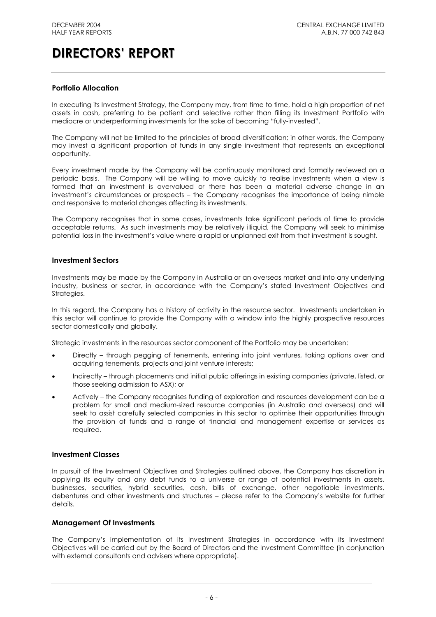### **Portfolio Allocation**

In executing its Investment Strategy, the Company may, from time to time, hold a high proportion of net assets in cash, preferring to be patient and selective rather than filling its Investment Portfolio with mediocre or underperforming investments for the sake of becoming "fully-invested".

The Company will not be limited to the principles of broad diversification; in other words, the Company may invest a significant proportion of funds in any single investment that represents an exceptional opportunity.

Every investment made by the Company will be continuously monitored and formally reviewed on a periodic basis. The Company will be willing to move quickly to realise investments when a view is formed that an investment is overvalued or there has been a material adverse change in an investment's circumstances or prospects – the Company recognises the importance of being nimble and responsive to material changes affecting its investments.

The Company recognises that in some cases, investments take significant periods of time to provide acceptable returns. As such investments may be relatively illiquid, the Company will seek to minimise potential loss in the investment's value where a rapid or unplanned exit from that investment is sought.

#### **Investment Sectors**

Investments may be made by the Company in Australia or an overseas market and into any underlying industry, business or sector, in accordance with the Company's stated Investment Objectives and Strategies.

In this regard, the Company has a history of activity in the resource sector. Investments undertaken in this sector will continue to provide the Company with a window into the highly prospective resources sector domestically and globally.

Strategic investments in the resources sector component of the Portfolio may be undertaken:

- Directly through pegging of tenements, entering into joint ventures, taking options over and acquiring tenements, projects and joint venture interests;
- Indirectly through placements and initial public offerings in existing companies (private, listed, or those seeking admission to ASX); or
- Actively the Company recognises funding of exploration and resources development can be a problem for small and medium-sized resource companies (in Australia and overseas) and will seek to assist carefully selected companies in this sector to optimise their opportunities through the provision of funds and a range of financial and management expertise or services as required.

### **Investment Classes**

In pursuit of the Investment Objectives and Strategies outlined above, the Company has discretion in applying its equity and any debt funds to a universe or range of potential investments in assets, businesses, securities, hybrid securities, cash, bills of exchange, other negotiable investments, debentures and other investments and structures – please refer to the Company's website for further details.

### **Management Of Investments**

The Company's implementation of its Investment Strategies in accordance with its Investment Objectives will be carried out by the Board of Directors and the Investment Committee (in conjunction with external consultants and advisers where appropriate).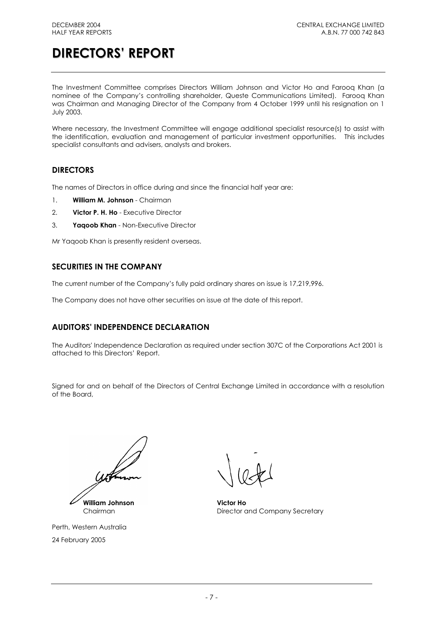The Investment Committee comprises Directors William Johnson and Victor Ho and Farooq Khan (a nominee of the Company's controlling shareholder, Queste Communications Limited). Farooq Khan was Chairman and Managing Director of the Company from 4 October 1999 until his resignation on 1 July 2003.

Where necessary, the Investment Committee will engage additional specialist resource(s) to assist with the identification, evaluation and management of particular investment opportunities. This includes specialist consultants and advisers, analysts and brokers.

# **DIRECTORS**

The names of Directors in office during and since the financial half year are:

- 1. **William M. Johnson** Chairman
- 2. **Victor P. H. Ho** Executive Director
- 3. **Yaqoob Khan** Non-Executive Director

Mr Yaqoob Khan is presently resident overseas.

# **SECURITIES IN THE COMPANY**

The current number of the Company's fully paid ordinary shares on issue is 17,219,996.

The Company does not have other securities on issue at the date of this report.

# **AUDITORS' INDEPENDENCE DECLARATION**

The Auditors' Independence Declaration as required under section 307C of the Corporations Act 2001 is attached to this Directors' Report.

Signed for and on behalf of the Directors of Central Exchange Limited in accordance with a resolution of the Board,

**William Johnson Victor Ho**

Perth, Western Australia 24 February 2005

Chairman **Director and Company Secretary**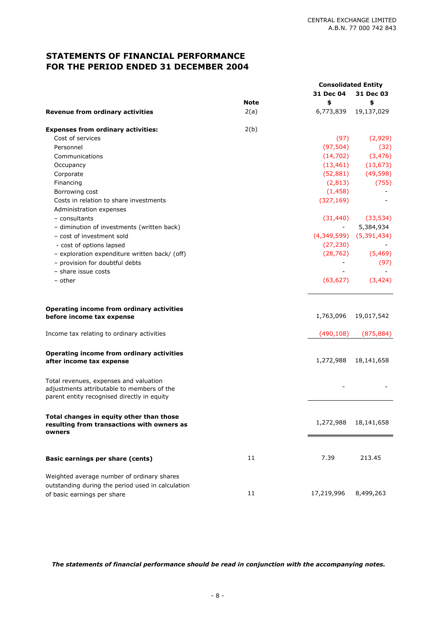# **STATEMENTS OF FINANCIAL PERFORMANCE FOR THE PERIOD ENDED 31 DECEMBER 2004**

|                                                                                                  |             | <b>Consolidated Entity</b> |                             |
|--------------------------------------------------------------------------------------------------|-------------|----------------------------|-----------------------------|
|                                                                                                  |             | 31 Dec 04                  | 31 Dec 03                   |
|                                                                                                  | <b>Note</b> | \$                         | \$                          |
| <b>Revenue from ordinary activities</b>                                                          | 2(a)        | 6,773,839                  | 19,137,029                  |
| <b>Expenses from ordinary activities:</b>                                                        | 2(b)        |                            |                             |
| Cost of services                                                                                 |             | (97)                       | (2,929)                     |
| Personnel                                                                                        |             | (97, 504)                  | (32)                        |
| Communications                                                                                   |             | (14, 702)                  | (3, 476)                    |
| Occupancy                                                                                        |             | (13, 461)                  | (13, 673)                   |
| Corporate                                                                                        |             | (52, 881)                  | (49, 598)                   |
| Financing                                                                                        |             | (2, 813)                   | (755)                       |
| Borrowing cost                                                                                   |             | (1, 458)                   |                             |
| Costs in relation to share investments                                                           |             | (327, 169)                 |                             |
| Administration expenses                                                                          |             |                            |                             |
| - consultants                                                                                    |             | (31, 440)                  | (33, 534)                   |
| - diminution of investments (written back)                                                       |             |                            | 5,384,934                   |
| - cost of investment sold                                                                        |             |                            | $(4,349,599)$ $(5,391,434)$ |
| - cost of options lapsed                                                                         |             | (27, 230)                  |                             |
| - exploration expenditure written back/ (off)                                                    |             | (28, 762)                  | (5, 469)                    |
| - provision for doubtful debts                                                                   |             |                            | (97)                        |
| - share issue costs                                                                              |             |                            |                             |
| - other                                                                                          |             | (63, 627)                  | (3, 424)                    |
|                                                                                                  |             |                            |                             |
| Operating income from ordinary activities<br>before income tax expense                           |             | 1,763,096                  | 19,017,542                  |
|                                                                                                  |             |                            |                             |
| Income tax relating to ordinary activities                                                       |             | (490, 108)                 | (875, 884)                  |
| Operating income from ordinary activities                                                        |             |                            |                             |
| after income tax expense                                                                         |             | 1,272,988                  | 18,141,658                  |
| Total revenues, expenses and valuation                                                           |             |                            |                             |
| adjustments attributable to members of the                                                       |             |                            |                             |
| parent entity recognised directly in equity                                                      |             |                            |                             |
| Total changes in equity other than those<br>resulting from transactions with owners as<br>owners |             | 1,272,988                  | 18,141,658                  |
|                                                                                                  |             |                            |                             |
| Basic earnings per share (cents)                                                                 | 11          | 7.39                       | 213.45                      |
| Weighted average number of ordinary shares                                                       |             |                            |                             |
| outstanding during the period used in calculation                                                |             |                            |                             |
| of basic earnings per share                                                                      | 11          | 17,219,996                 | 8,499,263                   |

*The statements of financial performance should be read in conjunction with the accompanying notes.*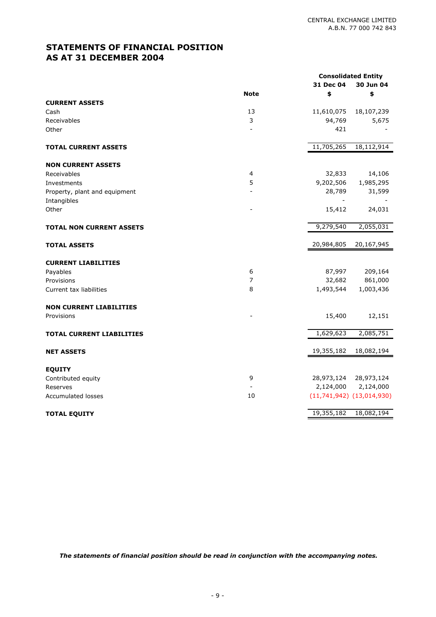# **STATEMENTS OF FINANCIAL POSITION AS AT 31 DECEMBER 2004**

|                                  |                | <b>Consolidated Entity</b><br>31 Dec 04<br>30 Jun 04 |                               |
|----------------------------------|----------------|------------------------------------------------------|-------------------------------|
|                                  | <b>Note</b>    | \$                                                   | \$                            |
| <b>CURRENT ASSETS</b>            |                |                                                      |                               |
| Cash                             | 13             | 11,610,075                                           | 18,107,239                    |
| Receivables                      | 3              | 94,769                                               | 5,675                         |
| Other                            |                | 421                                                  |                               |
| <b>TOTAL CURRENT ASSETS</b>      |                | 11,705,265                                           | 18,112,914                    |
| <b>NON CURRENT ASSETS</b>        |                |                                                      |                               |
| Receivables                      | 4              | 32,833                                               | 14,106                        |
| Investments                      | 5              | 9,202,506                                            | 1,985,295                     |
| Property, plant and equipment    |                | 28,789                                               | 31,599                        |
| Intangibles                      |                | $\overline{\phantom{a}}$                             |                               |
| Other                            |                | 15,412                                               | 24,031                        |
| <b>TOTAL NON CURRENT ASSETS</b>  |                | 9,279,540                                            | 2,055,031                     |
| <b>TOTAL ASSETS</b>              |                | 20,984,805                                           | 20,167,945                    |
| <b>CURRENT LIABILITIES</b>       |                |                                                      |                               |
| Payables                         | 6              | 87,997                                               | 209,164                       |
| Provisions                       | $\overline{7}$ | 32,682                                               | 861,000                       |
| Current tax liabilities          | 8              | 1,493,544                                            | 1,003,436                     |
| <b>NON CURRENT LIABILITIES</b>   |                |                                                      |                               |
| Provisions                       |                | 15,400                                               | 12,151                        |
| <b>TOTAL CURRENT LIABILITIES</b> |                | 1,629,623                                            | 2,085,751                     |
| <b>NET ASSETS</b>                |                | 19,355,182                                           | 18,082,194                    |
| <b>EQUITY</b>                    |                |                                                      |                               |
| Contributed equity               | 9              |                                                      | 28,973,124 28,973,124         |
| Reserves                         |                |                                                      | 2,124,000 2,124,000           |
| <b>Accumulated losses</b>        | 10             |                                                      | $(11,741,942)$ $(13,014,930)$ |
| <b>TOTAL EQUITY</b>              |                | 19,355,182                                           | 18,082,194                    |

*The statements of financial position should be read in conjunction with the accompanying notes.*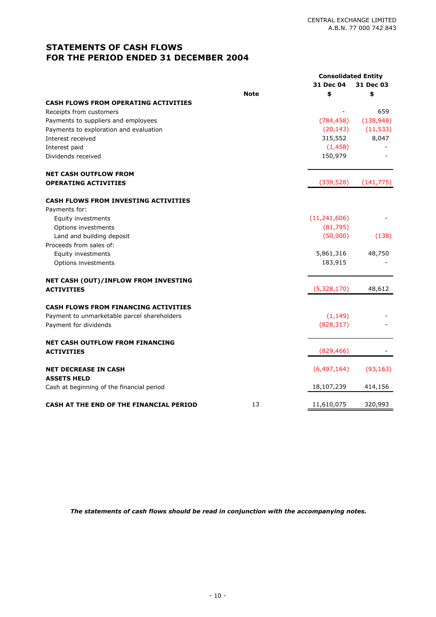# **STATEMENTS OF CASH FLOWS FOR THE PERIOD ENDED 31 DECEMBER 2004**

|                                                   |             | <b>Consolidated Entity</b><br>31 Dec 04 | 31 Dec 03  |
|---------------------------------------------------|-------------|-----------------------------------------|------------|
|                                                   | <b>Note</b> | \$                                      | \$         |
| <b>CASH FLOWS FROM OPERATING ACTIVITIES</b>       |             |                                         |            |
| Receipts from customers                           |             |                                         | 659        |
| Payments to suppliers and employees               |             | (784, 458)                              | (138, 948) |
| Payments to exploration and evaluation            |             | (20, 143)                               | (11, 533)  |
| Interest received                                 |             | 315,552                                 | 8,047      |
| Interest paid                                     |             | (1, 458)                                |            |
| Dividends received                                |             | 150,979                                 |            |
| <b>NET CASH OUTFLOW FROM</b>                      |             |                                         |            |
| <b>OPERATING ACTIVITIES</b>                       |             | (339, 528)                              | (141, 775) |
| <b>CASH FLOWS FROM INVESTING ACTIVITIES</b>       |             |                                         |            |
| Payments for:                                     |             |                                         |            |
| Equity investments                                |             | (11, 241, 606)                          |            |
| Options investments                               |             | (81, 795)                               |            |
| Land and building deposit                         |             | (50,000)                                | (138)      |
| Proceeds from sales of:                           |             |                                         |            |
| Equity investments                                |             | 5,861,316                               | 48,750     |
| Options investments                               |             | 183,915                                 |            |
| NET CASH (OUT)/INFLOW FROM INVESTING              |             |                                         |            |
| <b>ACTIVITIES</b>                                 |             | (5,328,170)                             | 48,612     |
| <b>CASH FLOWS FROM FINANCING ACTIVITIES</b>       |             |                                         |            |
| Payment to unmarketable parcel shareholders       |             | (1, 149)                                |            |
| Payment for dividends                             |             | (828, 317)                              |            |
| <b>NET CASH OUTFLOW FROM FINANCING</b>            |             | (829, 466)                              |            |
| <b>ACTIVITIES</b>                                 |             |                                         |            |
| <b>NET DECREASE IN CASH</b><br><b>ASSETS HELD</b> |             | (6,497,164)                             | (93, 163)  |
| Cash at beginning of the financial period         |             | 18,107,239                              | 414,156    |
| CASH AT THE END OF THE FINANCIAL PERIOD           | 13          | 11,610,075                              | 320,993    |

*The statements of cash flows should be read in conjunction with the accompanying notes.*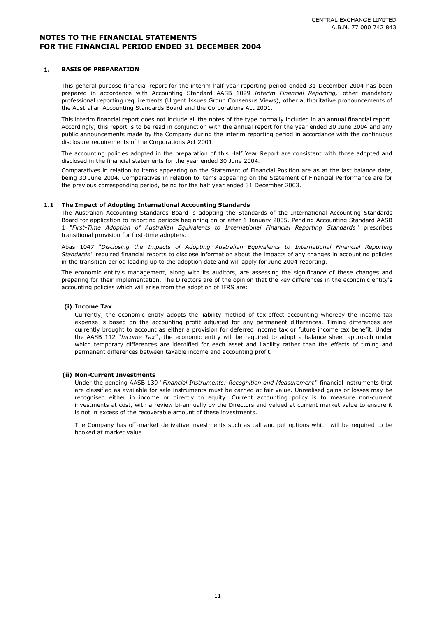#### **1. BASIS OF PREPARATION**

This general purpose financial report for the interim half-year reporting period ended 31 December 2004 has been prepared in accordance with Accounting Standard AASB 1029 *Interim Financial Reporting,* other mandatory professional reporting requirements (Urgent Issues Group Consensus Views), other authoritative pronouncements of the Australian Accounting Standards Board and the Corporations Act 2001.

This interim financial report does not include all the notes of the type normally included in an annual financial report. Accordingly, this report is to be read in conjunction with the annual report for the year ended 30 June 2004 and any public announcements made by the Company during the interim reporting period in accordance with the continuous disclosure requirements of the Corporations Act 2001.

The accounting policies adopted in the preparation of this Half Year Report are consistent with those adopted and disclosed in the financial statements for the year ended 30 June 2004.

Comparatives in relation to items appearing on the Statement of Financial Position are as at the last balance date, being 30 June 2004. Comparatives in relation to items appearing on the Statement of Financial Performance are for the previous corresponding period, being for the half year ended 31 December 2003.

#### **1.1 The Impact of Adopting International Accounting Standards**

The Australian Accounting Standards Board is adopting the Standards of the International Accounting Standards Board for application to reporting periods beginning on or after 1 January 2005. Pending Accounting Standard AASB 1 "*First-Time Adoption of Australian Equivalents to International Financial Reporting Standards* " prescribes transitional provision for first-time adopters.

Abas 1047 "*Disclosing the Impacts of Adopting Australian Equivalents to International Financial Reporting Standards* " required financial reports to disclose information about the impacts of any changes in accounting policies in the transition period leading up to the adoption date and will apply for June 2004 reporting.

The economic entity's management, along with its auditors, are assessing the significance of these changes and preparing for their implementation. The Directors are of the opinion that the key differences in the economic entity's accounting policies which will arise from the adoption of IFRS are:

#### **(i) Income Tax**

Currently, the economic entity adopts the liability method of tax-effect accounting whereby the income tax expense is based on the accounting profit adjusted for any permanent differences. Timing differences are currently brought to account as either a provision for deferred income tax or future income tax benefit. Under the AASB 112 "*Income Tax"* , the economic entity will be required to adopt a balance sheet approach under which temporary differences are identified for each asset and liability rather than the effects of timing and permanent differences between taxable income and accounting profit.

#### **(ii) Non-Current Investments**

Under the pending AASB 139 "*Financial Instruments: Recognition and Measurement* " financial instruments that are classified as available for sale instruments must be carried at fair value. Unrealised gains or losses may be recognised either in income or directly to equity. Current accounting policy is to measure non-current investments at cost, with a review bi-annually by the Directors and valued at current market value to ensure it is not in excess of the recoverable amount of these investments.

The Company has off-market derivative investments such as call and put options which will be required to be booked at market value.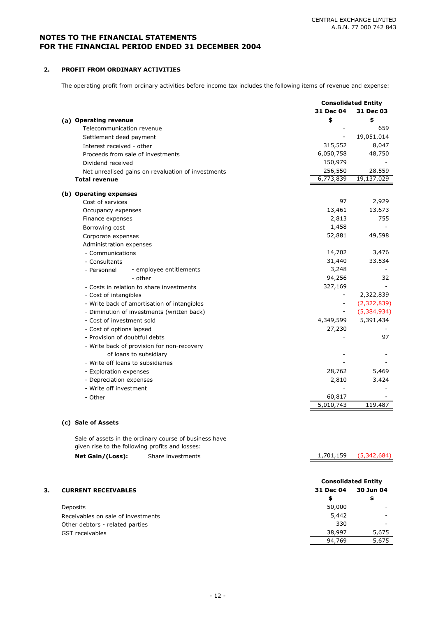1,701,159 (5,342,684)

### **NOTES TO THE FINANCIAL STATEMENTS FOR THE FINANCIAL PERIOD ENDED 31 DECEMBER 2004**

#### **2. PROFIT FROM ORDINARY ACTIVITIES**

The operating profit from ordinary activities before income tax includes the following items of revenue and expense:

|                                                    | <b>Consolidated Entity</b> |             |
|----------------------------------------------------|----------------------------|-------------|
|                                                    | 31 Dec 04                  | 31 Dec 03   |
| (a) Operating revenue                              | \$                         | \$          |
| Telecommunication revenue                          |                            | 659         |
| Settlement deed payment                            |                            | 19,051,014  |
| Interest received - other                          | 315,552                    | 8,047       |
| Proceeds from sale of investments                  | 6,050,758                  | 48,750      |
| Dividend received                                  | 150,979                    |             |
| Net unrealised gains on revaluation of investments | 256,550                    | 28,559      |
| <b>Total revenue</b>                               | 6,773,839                  | 19,137,029  |
| (b) Operating expenses                             |                            |             |
| Cost of services                                   | 97                         | 2,929       |
| Occupancy expenses                                 | 13,461                     | 13,673      |
| Finance expenses                                   | 2,813                      | 755         |
| Borrowing cost                                     | 1,458                      |             |
| Corporate expenses                                 | 52,881                     | 49,598      |
| Administration expenses                            |                            |             |
| - Communications                                   | 14,702                     | 3,476       |
| - Consultants                                      | 31,440                     | 33,534      |
| - employee entitlements<br>- Personnel             | 3,248                      |             |
| - other                                            | 94,256                     | 32          |
| - Costs in relation to share investments           | 327,169                    |             |
| - Cost of intangibles                              |                            | 2,322,839   |
| - Write back of amortisation of intangibles        |                            | (2,322,839) |
| - Diminution of investments (written back)         |                            | (5,384,934) |
| - Cost of investment sold                          | 4,349,599                  | 5,391,434   |
| - Cost of options lapsed                           | 27,230                     |             |
| - Provision of doubtful debts                      |                            | 97          |
| - Write back of provision for non-recovery         |                            |             |
| of loans to subsidiary                             |                            |             |
| - Write off loans to subsidiaries                  |                            |             |
| - Exploration expenses                             | 28,762                     | 5,469       |
| - Depreciation expenses                            | 2,810                      | 3,424       |
| - Write off investment                             |                            |             |
| - Other                                            | 60,817                     |             |
|                                                    | 5,010,743                  | 119,487     |

### **(c) Sale of Assets**

Sale of assets in the ordinary course of business have given rise to the following profits and losses:

| Net Gain/(Loss):<br>Share investments |
|---------------------------------------|
|---------------------------------------|

| З. | <b>CURRENT RECEIVABLES</b>         | 31 Dec 04 | <b>Consolidated Entity</b><br>30 Jun 04 |
|----|------------------------------------|-----------|-----------------------------------------|
|    |                                    | \$        | \$                                      |
|    | Deposits                           | 50,000    |                                         |
|    | Receivables on sale of investments | 5,442     |                                         |
|    | Other debtors - related parties    | 330       | $\overline{\phantom{a}}$                |
|    | <b>GST</b> receivables             | 38,997    | 5,675                                   |
|    |                                    | 94,769    | 5,675                                   |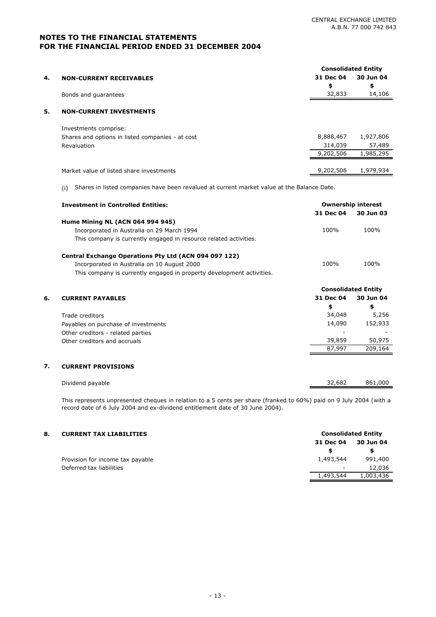|    |                                                  | <b>Consolidated Entity</b> |           |
|----|--------------------------------------------------|----------------------------|-----------|
| 4. | <b>NON-CURRENT RECEIVABLES</b>                   | 31 Dec 04                  | 30 Jun 04 |
|    |                                                  | \$                         | \$        |
|    | Bonds and quarantees                             | 32,833                     | 14,106    |
|    |                                                  |                            |           |
| 5. | <b>NON-CURRENT INVESTMENTS</b>                   |                            |           |
|    | Investments comprise:                            |                            |           |
|    | Shares and options in listed companies - at cost | 8,888,467                  | 1,927,806 |
|    | Revaluation                                      | 314,039                    | 57,489    |
|    |                                                  | 9,202,506                  | 1,985,295 |
|    |                                                  |                            |           |
|    | Market value of listed share investments         | 9,202,506                  | 1,979,934 |

(i) Shares in listed companies have been revalued at current market value at the Balance Date.

|    | <b>Investment in Controlled Entities:</b>                             |           | <b>Ownership interest</b>  |
|----|-----------------------------------------------------------------------|-----------|----------------------------|
|    |                                                                       | 31 Dec 04 | 30 Jun 03                  |
|    | <b>Hume Mining NL (ACN 064 994 945)</b>                               |           |                            |
|    | Incorporated in Australia on 29 March 1994                            | 100%      | 100%                       |
|    | This company is currently engaged in resource related activities.     |           |                            |
|    | Central Exchange Operations Pty Ltd (ACN 094 097 122)                 |           |                            |
|    | Incorporated in Australia on 10 August 2000                           | 100%      | 100%                       |
|    | This company is currently engaged in property development activities. |           |                            |
|    |                                                                       |           | <b>Consolidated Entity</b> |
| 6. | <b>CURRENT PAYABLES</b>                                               | 31 Dec 04 | 30 Jun 04                  |
|    |                                                                       | \$        | \$                         |
|    | Trade creditors                                                       | 34,048    | 5,256                      |
|    | Payables on purchase of investments                                   | 14,090    | 152,933                    |
|    | Other creditors - related parties                                     |           |                            |
|    | Other creditors and accruals                                          | 39,859    | 50,975                     |
|    |                                                                       | 87,997    | 209,164                    |

|             | Dividend payable |  |  |  |  | 32,682 | 861,000 |
|-------------|------------------|--|--|--|--|--------|---------|
| $- \cdot$ . |                  |  |  |  |  |        | .       |

This represents unpresented cheques in relation to a 5 cents per share (franked to 60%) paid on 9 July 2004 (with a record date of 6 July 2004 and ex-dividend entitlement date of 30 June 2004).

| 8. | <b>CURRENT TAX LIABILITIES</b>   | <b>Consolidated Entity</b> |           |  |
|----|----------------------------------|----------------------------|-----------|--|
|    |                                  | 31 Dec 04                  | 30 Jun 04 |  |
|    |                                  |                            |           |  |
|    | Provision for income tax payable | 1,493,544                  | 991,400   |  |
|    | Deferred tax liabilities         | $\overline{\phantom{a}}$   | 12,036    |  |
|    |                                  | 1,493,544                  | 1,003,436 |  |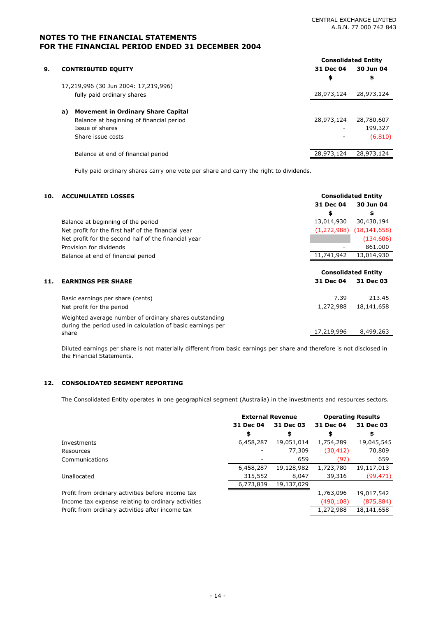|    |                                                 |                          | <b>Consolidated Entity</b> |
|----|-------------------------------------------------|--------------------------|----------------------------|
| 9. | <b>CONTRIBUTED EQUITY</b>                       | 31 Dec 04                | 30 Jun 04                  |
|    |                                                 | \$                       | \$                         |
|    | 17,219,996 (30 Jun 2004: 17,219,996)            |                          |                            |
|    | fully paid ordinary shares                      | 28,973,124               | 28,973,124                 |
|    | <b>Movement in Ordinary Share Capital</b><br>a) |                          |                            |
|    | Balance at beginning of financial period        | 28,973,124               | 28,780,607                 |
|    | Issue of shares                                 | $\overline{\phantom{a}}$ | 199,327                    |
|    | Share issue costs                               | $\overline{\phantom{a}}$ | (6, 810)                   |
|    |                                                 |                          |                            |
|    | Balance at end of financial period              | 28,973,124               | 28,973,124                 |
|    |                                                 |                          |                            |

Fully paid ordinary shares carry one vote per share and carry the right to dividends.

| 10. | <b>ACCUMULATED LOSSES</b>                                                                                             | <b>Consolidated Entity</b>   |            |
|-----|-----------------------------------------------------------------------------------------------------------------------|------------------------------|------------|
|     |                                                                                                                       | 31 Dec 04                    | 30 Jun 04  |
|     |                                                                                                                       | \$                           | \$         |
|     | Balance at beginning of the period                                                                                    | 13,014,930                   | 30,430,194 |
|     | Net profit for the first half of the financial year                                                                   | $(1,272,988)$ $(18,141,658)$ |            |
|     | Net profit for the second half of the financial year                                                                  |                              | (134, 606) |
|     | Provision for dividends                                                                                               |                              | 861,000    |
|     | Balance at end of financial period                                                                                    | 11,741,942                   | 13,014,930 |
|     |                                                                                                                       |                              |            |
|     |                                                                                                                       | <b>Consolidated Entity</b>   |            |
| 11. | <b>EARNINGS PER SHARE</b>                                                                                             | 31 Dec 04                    | 31 Dec 03  |
|     | Basic earnings per share (cents)                                                                                      | 7.39                         | 213.45     |
|     | Net profit for the period                                                                                             | 1,272,988                    | 18,141,658 |
|     | Weighted average number of ordinary shares outstanding<br>during the period used in calculation of basic earnings per |                              |            |
|     | share                                                                                                                 | 17,219,996                   | 8,499,263  |

Diluted earnings per share is not materially different from basic earnings per share and therefore is not disclosed in the Financial Statements.

#### **12. CONSOLIDATED SEGMENT REPORTING**

The Consolidated Entity operates in one geographical segment (Australia) in the investments and resources sectors.

| <b>External Revenue</b> |            |           |                          |
|-------------------------|------------|-----------|--------------------------|
| 31 Dec 04               | 31 Dec 03  | 31 Dec 04 | 31 Dec 03                |
| \$                      | \$         | \$        | \$                       |
| 6,458,287               | 19,051,014 | 1,754,289 | 19,045,545               |
|                         | 77,309     | (30, 412) | 70,809                   |
|                         | 659        | (97)      | 659                      |
| 6,458,287               | 19,128,982 | 1,723,780 | 19,117,013               |
| 315,552                 | 8,047      | 39,316    | (99, 471)                |
| 6,773,839               | 19,137,029 |           |                          |
|                         |            | 1,763,096 | 19,017,542               |
|                         |            | (490,108) | (875, 884)               |
|                         |            | 1,272,988 | 18,141,658               |
|                         |            |           | <b>Operating Results</b> |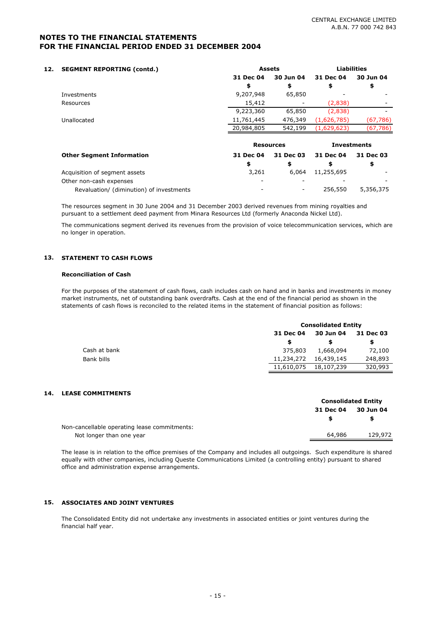| 12. | <b>SEGMENT REPORTING (contd.)</b>        |            | <b>Assets</b>    | <b>Liabilities</b> |           |
|-----|------------------------------------------|------------|------------------|--------------------|-----------|
|     |                                          | 31 Dec 04  | 30 Jun 04        | 31 Dec 04          | 30 Jun 04 |
|     |                                          | \$         | \$               | \$                 | \$        |
|     | Investments                              | 9,207,948  | 65,850           |                    |           |
|     | Resources                                | 15,412     |                  | (2,838)            |           |
|     |                                          | 9,223,360  | 65,850           | (2,838)            |           |
|     | Unallocated                              | 11,761,445 | 476,349          | (1,626,785)        | (67, 786) |
|     |                                          | 20,984,805 | 542,199          | (1,629,623)        | (67, 786) |
|     |                                          |            |                  |                    |           |
|     |                                          |            | <b>Resources</b> | <b>Investments</b> |           |
|     | <b>Other Segment Information</b>         | 31 Dec 04  | 31 Dec 03        | 31 Dec 04          | 31 Dec 03 |
|     |                                          | \$         | \$               | \$                 | \$        |
|     | Acquisition of segment assets            | 3,261      | 6.064            | 11,255,695         |           |
|     | Other non-cash expenses                  |            |                  |                    |           |
|     | Revaluation/ (diminution) of investments |            |                  | 256,550            | 5,356,375 |

The resources segment in 30 June 2004 and 31 December 2003 derived revenues from mining royalties and pursuant to a settlement deed payment from Minara Resources Ltd (formerly Anaconda Nickel Ltd).

The communications segment derived its revenues from the provision of voice telecommunication services, which are no longer in operation.

#### **13. STATEMENT TO CASH FLOWS**

#### **Reconciliation of Cash**

For the purposes of the statement of cash flows, cash includes cash on hand and in banks and investments in money market instruments, net of outstanding bank overdrafts. Cash at the end of the financial period as shown in the statements of cash flows is reconciled to the related items in the statement of financial position as follows:

|              | <b>Consolidated Entity</b> |            |           |  |  |
|--------------|----------------------------|------------|-----------|--|--|
|              | 31 Dec 04                  | 30 Jun 04  | 31 Dec 03 |  |  |
|              |                            |            | S         |  |  |
| Cash at bank | 375,803                    | 1,668,094  | 72,100    |  |  |
| Bank bills   | 11,234,272                 | 16,439,145 | 248,893   |  |  |
|              | 11,610,075                 | 18,107,239 | 320,993   |  |  |

#### **14. LEASE COMMITMENTS**

|                                              |           | <b>Consolidated Entity</b> |  |
|----------------------------------------------|-----------|----------------------------|--|
|                                              | 31 Dec 04 | 30 Jun 04                  |  |
|                                              |           | \$                         |  |
| Non-cancellable operating lease commitments: |           |                            |  |
| Not longer than one year                     | 64,986    | 129,972                    |  |

The lease is in relation to the office premises of the Company and includes all outgoings. Such expenditure is shared equally with other companies, including Queste Communications Limited (a controlling entity) pursuant to shared office and administration expense arrangements.

#### **15. ASSOCIATES AND JOINT VENTURES**

The Consolidated Entity did not undertake any investments in associated entities or joint ventures during the financial half year.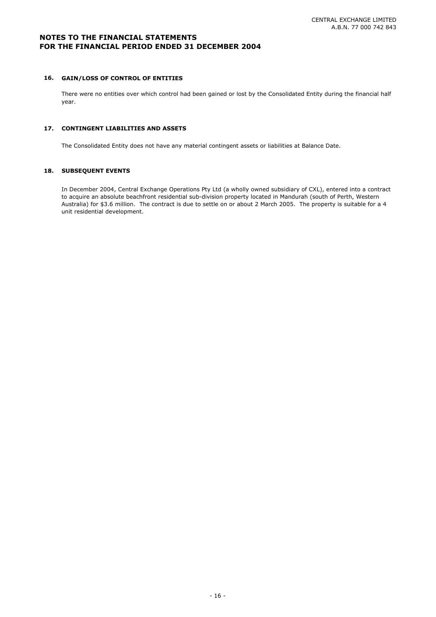#### **16. GAIN/LOSS OF CONTROL OF ENTITIES**

There were no entities over which control had been gained or lost by the Consolidated Entity during the financial half year.

#### **17. CONTINGENT LIABILITIES AND ASSETS**

The Consolidated Entity does not have any material contingent assets or liabilities at Balance Date.

#### **18. SUBSEQUENT EVENTS**

In December 2004, Central Exchange Operations Pty Ltd (a wholly owned subsidiary of CXL), entered into a contract to acquire an absolute beachfront residential sub-division property located in Mandurah (south of Perth, Western Australia) for \$3.6 million. The contract is due to settle on or about 2 March 2005. The property is suitable for a 4 unit residential development.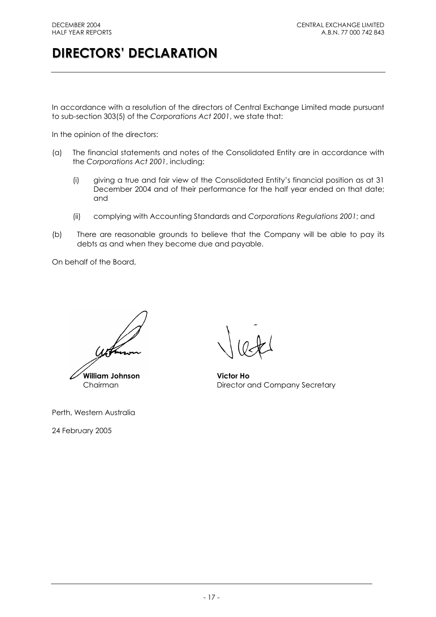# **DIRECTORS' DECLARATION**

In accordance with a resolution of the directors of Central Exchange Limited made pursuant to sub-section 303(5) of the *Corporations Act 2001*, we state that:

In the opinion of the directors:

- (a) The financial statements and notes of the Consolidated Entity are in accordance with the *Corporations Act 2001*, including:
	- (i) giving a true and fair view of the Consolidated Entity's financial position as at 31 December 2004 and of their performance for the half year ended on that date; and
	- (ii) complying with Accounting Standards and *Corporations Regulations 2001*; and
- (b) There are reasonable grounds to believe that the Company will be able to pay its debts as and when they become due and payable.

On behalf of the Board,

**William Johnson Victor Ho**

Perth, Western Australia

24 February 2005

Chairman Director and Company Secretary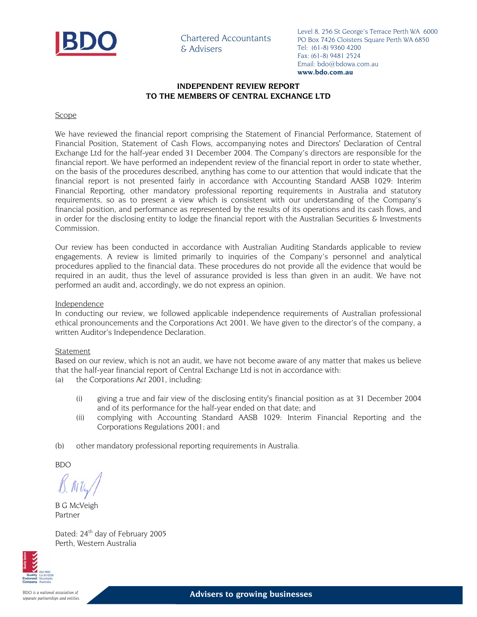

Chartered Accountants & Advisers

Level 8, 256 St George's Terrace Perth WA 6000 PO Box 7426 Cloisters Square Perth WA 6850 Tel: (61-8) 9360 4200 Fax: (61-8) 9481 2524 Email: bdo@bdowa.com.au **www.bdo.com.au**

#### **INDEPENDENT REVIEW REPORT TO THE MEMBERS OF CENTRAL EXCHANGE LTD**

#### Scope

We have reviewed the financial report comprising the Statement of Financial Performance, Statement of Financial Position, Statement of Cash Flows, accompanying notes and Directors' Declaration of Central Exchange Ltd for the half-year ended 31 December 2004. The Company's directors are responsible for the financial report. We have performed an independent review of the financial report in order to state whether, on the basis of the procedures described, anything has come to our attention that would indicate that the financial report is not presented fairly in accordance with Accounting Standard AASB 1029: Interim Financial Reporting, other mandatory professional reporting requirements in Australia and statutory requirements, so as to present a view which is consistent with our understanding of the Company's financial position, and performance as represented by the results of its operations and its cash flows, and in order for the disclosing entity to lodge the financial report with the Australian Securities & Investments Commission.

Our review has been conducted in accordance with Australian Auditing Standards applicable to review engagements. A review is limited primarily to inquiries of the Company's personnel and analytical procedures applied to the financial data. These procedures do not provide all the evidence that would be required in an audit, thus the level of assurance provided is less than given in an audit. We have not performed an audit and, accordingly, we do not express an opinion.

#### Independence

In conducting our review, we followed applicable independence requirements of Australian professional ethical pronouncements and the Corporations Act 2001. We have given to the director's of the company, a written Auditor's Independence Declaration.

#### Statement

Based on our review, which is not an audit, we have not become aware of any matter that makes us believe that the half-year financial report of Central Exchange Ltd is not in accordance with:

- (a) the Corporations *Act 2001*, including:
	- (i) giving a true and fair view of the disclosing entity's financial position as at 31 December 2004 and of its performance for the half-year ended on that date; and
	- (ii) complying with Accounting Standard AASB 1029: Interim Financial Reporting and the Corporations Regulations 2001; and
- (b) other mandatory professional reporting requirements in Australia.

BDO

B G McVeigh Partner

Dated: 24<sup>th</sup> day of February 2005 Perth, Western Australia